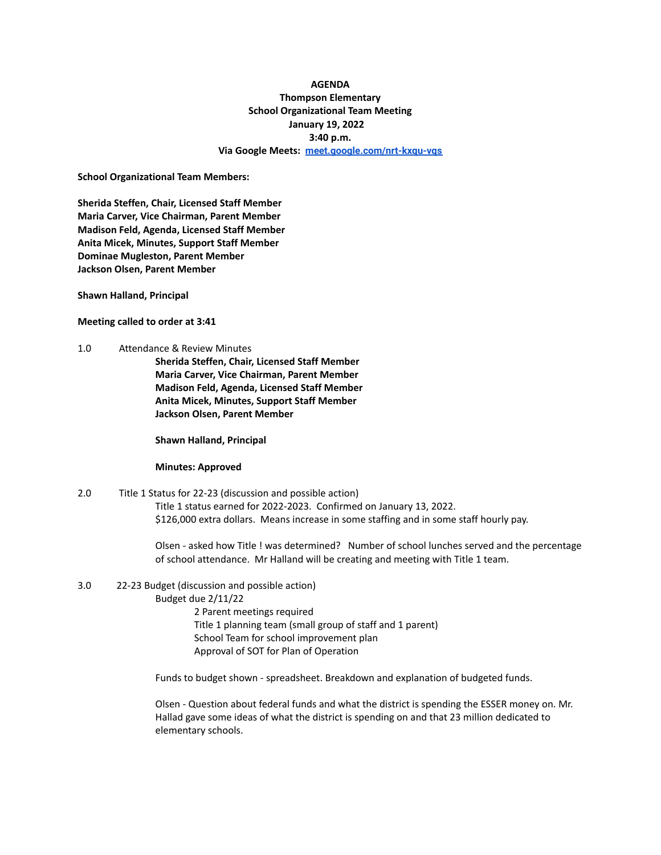# **AGENDA Thompson Elementary School Organizational Team Meeting January 19, 2022 3:40 p.m. Via Google Meets: [meet.google.com/nrt-kxqu-vqs](http://meet.google.com/nrt-kxqu-vqs)**

**School Organizational Team Members:**

**Sherida Steffen, Chair, Licensed Staff Member Maria Carver, Vice Chairman, Parent Member Madison Feld, Agenda, Licensed Staff Member Anita Micek, Minutes, Support Staff Member Dominae Mugleston, Parent Member Jackson Olsen, Parent Member**

**Shawn Halland, Principal**

**Meeting called to order at 3:41**

1.0 Attendance & Review Minutes

**Sherida Steffen, Chair, Licensed Staff Member Maria Carver, Vice Chairman, Parent Member Madison Feld, Agenda, Licensed Staff Member Anita Micek, Minutes, Support Staff Member Jackson Olsen, Parent Member**

**Shawn Halland, Principal**

#### **Minutes: Approved**

2.0 Title 1 Status for 22-23 (discussion and possible action) Title 1 status earned for 2022-2023. Confirmed on January 13, 2022. \$126,000 extra dollars. Means increase in some staffing and in some staff hourly pay.

> Olsen - asked how Title ! was determined? Number of school lunches served and the percentage of school attendance. Mr Halland will be creating and meeting with Title 1 team.

#### 3.0 22-23 Budget (discussion and possible action)

Budget due 2/11/22

2 Parent meetings required Title 1 planning team (small group of staff and 1 parent) School Team for school improvement plan Approval of SOT for Plan of Operation

Funds to budget shown - spreadsheet. Breakdown and explanation of budgeted funds.

Olsen - Question about federal funds and what the district is spending the ESSER money on. Mr. Hallad gave some ideas of what the district is spending on and that 23 million dedicated to elementary schools.